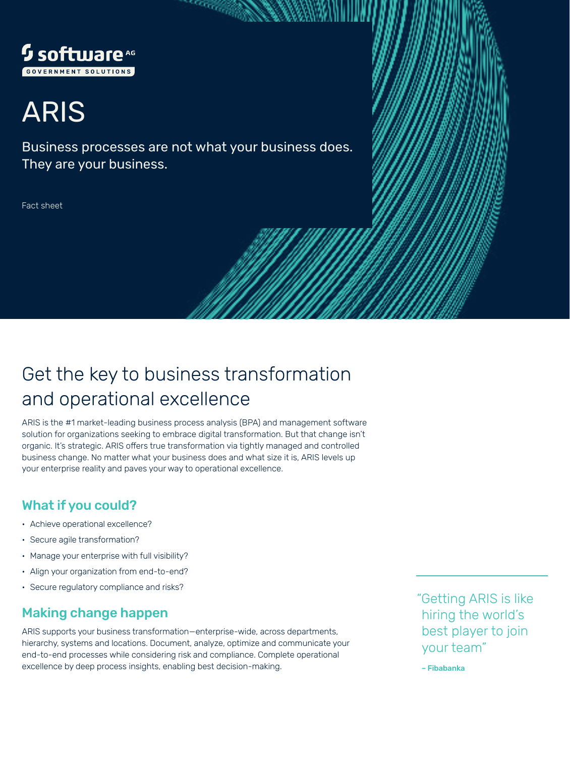

# ARIS

Business processes are not what your business does. They are your business.

randi ya

Fact sheet

## Get the key to business transformation and operational excellence

ARIS is the #1 market-leading business process analysis (BPA) and management software solution for organizations seeking to embrace digital transformation. But that change isn't organic. It's strategic. ARIS offers true transformation via tightly managed and controlled business change. No matter what your business does and what size it is, ARIS levels up your enterprise reality and paves your way to operational excellence.

## What if you could?

- Achieve operational excellence?
- Secure agile transformation?
- Manage your enterprise with full visibility?
- Align your organization from end-to-end?
- Secure regulatory compliance and risks?

## Making change happen

ARIS supports your business transformation—enterprise-wide, across departments, hierarchy, systems and locations. Document, analyze, optimize and communicate your end-to-end processes while considering risk and compliance. Complete operational excellence by deep process insights, enabling best decision-making.

"Getting ARIS is like hiring the world's best player to join your team"

– Fibabanka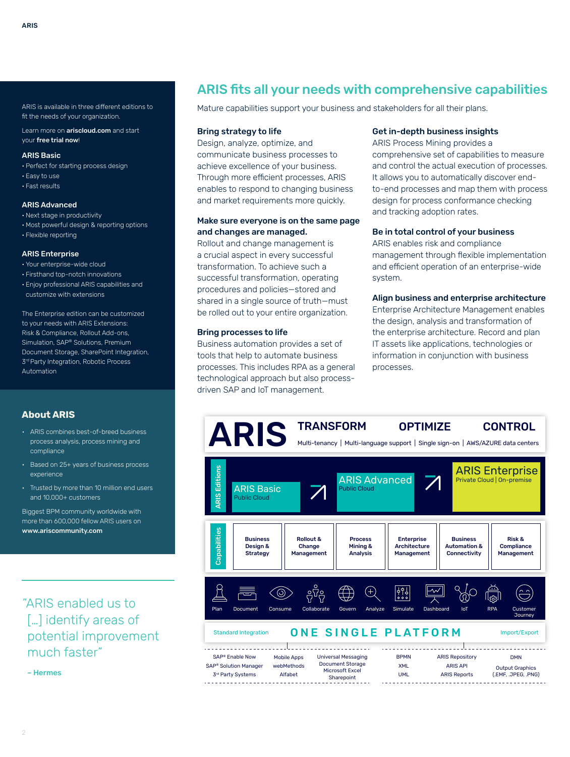Learn more on **[ariscloud.com](https://ariscloud.com/)** and start your [free trial now](https://ariscloud.com/aris-basic/)!

#### ARIS Basic

- Perfect for starting process design
- Easy to use
- Fast results

#### ARIS Advanced

- Next stage in productivity
- Most powerful design & reporting options
- Flexible reporting

#### ARIS Enterprise

- Your enterprise-wide cloud
- Firsthand top-notch innovations
- Enjoy professional ARIS capabilities and customize with extensions

The Enterprise edition can be customized to your needs with ARIS Extensions: Risk & Compliance, Rollout Add-ons, Simulation, SAP® Solutions, Premium Document Storage, SharePoint Integration, 3<sup>rd</sup> Party Integration, Robotic Process Automation

#### **About ARIS**

- ARIS combines best-of-breed business process analysis, process mining and compliance
- Based on 25+ years of business process experience
- Trusted by more than 10 million end users and 10,000+ customers

Biggest BPM community worldwide with more than 600,000 fellow ARIS users on [www.ariscommunity.com](https://www.ariscommunity.com/)

"ARIS enabled us to [...] identify areas of potential improvement much faster"

– Hermes

## ARIS fits all your needs with comprehensive capabilities

Mature capabilities support your business and stakeholders for all their plans.

#### Bring strategy to life

Design, analyze, optimize, and communicate business processes to achieve excellence of your business. Through more efficient processes, ARIS enables to respond to changing business and market requirements more quickly.

#### Make sure everyone is on the same page and changes are managed.

Rollout and change management is a crucial aspect in every successful transformation. To achieve such a successful transformation, operating procedures and policies—stored and shared in a single source of truth—must be rolled out to your entire organization.

#### Bring processes to life

Business automation provides a set of tools that help to automate business processes. This includes RPA as a general technological approach but also processdriven SAP and IoT management.

#### Get in-depth business insights

ARIS Process Mining provides a comprehensive set of capabilities to measure and control the actual execution of processes. It allows you to automatically discover endto-end processes and map them with process design for process conformance checking and tracking adoption rates.

#### Be in total control of your business

ARIS enables risk and compliance management through flexible implementation and efficient operation of an enterprise-wide system.

#### Align business and enterprise architecture

Enterprise Architecture Management enables the design, analysis and transformation of the enterprise architecture. Record and plan IT assets like applications, technologies or information in conjunction with business processes.

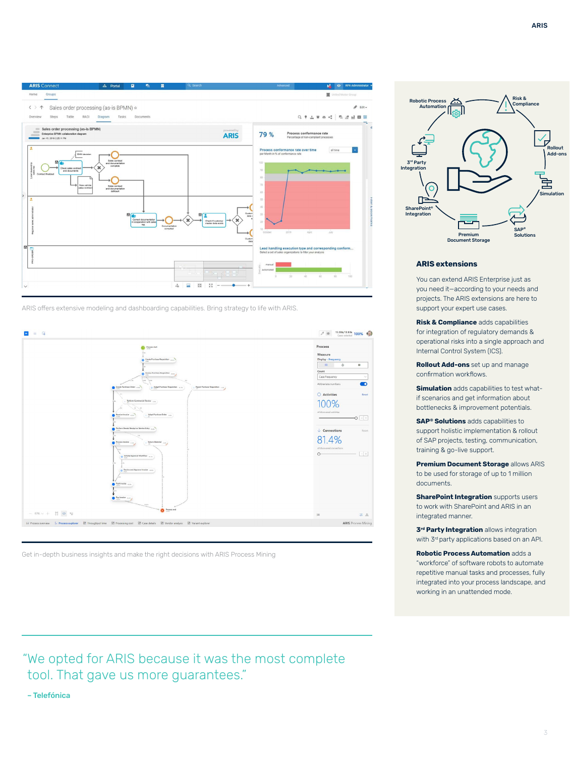

ARIS offers extensive modeling and dashboarding capabilities. Bring strategy to life with ARIS.



Get in-depth business insights and make the right decisions with ARIS Process Mining

"We opted for ARIS because it was the most complete tool. That gave us more guarantees."

– Telefónica



#### **ARIS extensions**

You can extend ARIS Enterprise just as you need it—according to your needs and projects. The ARIS extensions are here to support your expert use cases.

**Risk & Compliance** adds capabilities for integration of regulatory demands & operational risks into a single approach and Internal Control System (ICS).

**Rollout Add-ons** set up and manage confirmation workflows.

**Simulation** adds capabilities to test whatif scenarios and get information about bottlenecks & improvement potentials.

**SAP<sup>®</sup> Solutions** adds capabilities to support holistic implementation & rollout of SAP projects, testing, communication, training & go-live support.

**Premium Document Storage** allows ARIS to be used for storage of up to 1 million documents.

**SharePoint Integration** supports users to work with SharePoint and ARIS in an integrated manner.

**3<sup>rd</sup> Party Integration** allows integration with 3<sup>rd</sup> party applications based on an API.

**Robotic Process Automation** adds a "workforce" of software robots to automate repetitive manual tasks and processes, fully integrated into your process landscape, and working in an unattended mode.